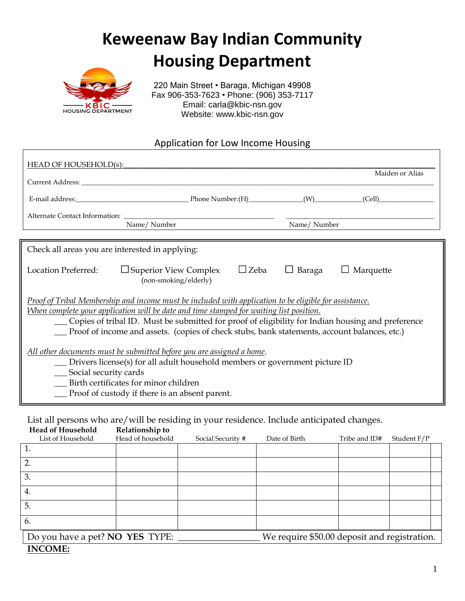# **Keweenaw Bay Indian Community Housing Department**



220 Main Street • Baraga, Michigan 49908 Fax 906-353-7623 • Phone: (906) 353-7117 Email: carla@kbic-nsn.gov Website: www.kbic-nsn.gov

### Application for Low Income Housing

| HEAD OF HOUSEHOLD(s):                                                                                                                                                                                                                                                                                                                                                                                        |                                                       |                            |                  |
|--------------------------------------------------------------------------------------------------------------------------------------------------------------------------------------------------------------------------------------------------------------------------------------------------------------------------------------------------------------------------------------------------------------|-------------------------------------------------------|----------------------------|------------------|
|                                                                                                                                                                                                                                                                                                                                                                                                              |                                                       |                            | Maiden or Alias  |
|                                                                                                                                                                                                                                                                                                                                                                                                              |                                                       |                            |                  |
| Alternate Contact Information:<br>Name/Number                                                                                                                                                                                                                                                                                                                                                                |                                                       | Name/Number                |                  |
| Check all areas you are interested in applying:                                                                                                                                                                                                                                                                                                                                                              |                                                       |                            |                  |
| <b>Location Preferred:</b>                                                                                                                                                                                                                                                                                                                                                                                   | $\Box$ Superior View Complex<br>(non-smoking/elderly) | $\Box$ Zeba<br>Baraga<br>ப | $\Box$ Marquette |
| Proof of Tribal Membership and income must be included with application to be eligible for assistance.<br>When complete your application will be date and time stamped for waiting list position.<br>__ Copies of tribal ID. Must be submitted for proof of eligibility for Indian housing and preference<br>__ Proof of income and assets. (copies of check stubs, bank statements, account balances, etc.) |                                                       |                            |                  |
| All other documents must be submitted before you are assigned a home.<br>_ Drivers license(s) for all adult household members or government picture ID<br>__ Social security cards<br>Birth certificates for minor children<br>The Proof of custody if there is an absent parent.                                                                                                                            |                                                       |                            |                  |
|                                                                                                                                                                                                                                                                                                                                                                                                              |                                                       |                            |                  |

List all persons who are/will be residing in your residence. Include anticipated changes.

| <b>Head of Household</b>                                                               | Relationship to   |                   |               |               |             |
|----------------------------------------------------------------------------------------|-------------------|-------------------|---------------|---------------|-------------|
| List of Household                                                                      | Head of household | Social Security # | Date of Birth | Tribe and ID# | Student F/P |
| 1.                                                                                     |                   |                   |               |               |             |
| $\overline{2}$                                                                         |                   |                   |               |               |             |
| 3.                                                                                     |                   |                   |               |               |             |
| 4.                                                                                     |                   |                   |               |               |             |
| 5.                                                                                     |                   |                   |               |               |             |
| 6.                                                                                     |                   |                   |               |               |             |
| We require \$50.00 deposit and registration.<br>Do you have a pet? <b>NO YES</b> TYPE: |                   |                   |               |               |             |
| <b>INCOME:</b>                                                                         |                   |                   |               |               |             |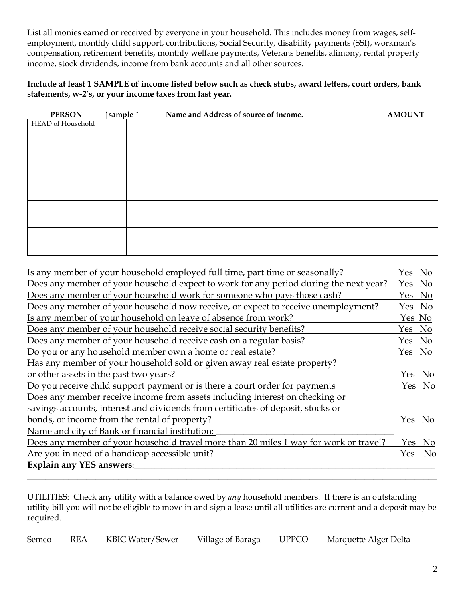List all monies earned or received by everyone in your household. This includes money from wages, selfemployment, monthly child support, contributions, Social Security, disability payments (SSI), workman's compensation, retirement benefits, monthly welfare payments, Veterans benefits, alimony, rental property income, stock dividends, income from bank accounts and all other sources.

**Include at least 1 SAMPLE of income listed below such as check stubs, award letters, court orders, bank statements, w-2's, or your income taxes from last year.**

| <b>PERSON</b>            | ↑ sample | Name and Address of source of income. | <b>AMOUNT</b> |
|--------------------------|----------|---------------------------------------|---------------|
| <b>HEAD</b> of Household |          |                                       |               |
|                          |          |                                       |               |
|                          |          |                                       |               |
|                          |          |                                       |               |
|                          |          |                                       |               |
|                          |          |                                       |               |
|                          |          |                                       |               |
|                          |          |                                       |               |
|                          |          |                                       |               |
|                          |          |                                       |               |
|                          |          |                                       |               |
|                          |          |                                       |               |
|                          |          |                                       |               |
|                          |          |                                       |               |
|                          |          |                                       |               |

| Is any member of your household employed full time, part time or seasonally?          | Yes No |                |
|---------------------------------------------------------------------------------------|--------|----------------|
| Does any member of your household expect to work for any period during the next year? | Yes No |                |
| Does any member of your household work for someone who pays those cash?               | Yes No |                |
| Does any member of your household now receive, or expect to receive unemployment?     | Yes No |                |
| Is any member of your household on leave of absence from work?                        | Yes No |                |
| Does any member of your household receive social security benefits?                   | Yes No |                |
| Does any member of your household receive cash on a regular basis?                    | Yes No |                |
| Do you or any household member own a home or real estate?                             | Yes No |                |
| Has any member of your household sold or given away real estate property?             |        |                |
| or other assets in the past two years?                                                |        | Yes No         |
| Do you receive child support payment or is there a court order for payments           |        | Yes No         |
| Does any member receive income from assets including interest on checking or          |        |                |
| savings accounts, interest and dividends from certificates of deposit, stocks or      |        |                |
| bonds, or income from the rental of property?                                         |        | Yes No         |
| Name and city of Bank or financial institution:                                       |        |                |
| Does any member of your household travel more than 20 miles 1 way for work or travel? |        | Yes No         |
| Are you in need of a handicap accessible unit?                                        | Yes    | N <sub>0</sub> |
| Explain any YES answers:                                                              |        |                |
|                                                                                       |        |                |

UTILITIES: Check any utility with a balance owed by *any* household members. If there is an outstanding utility bill you will not be eligible to move in and sign a lease until all utilities are current and a deposit may be required.

Semco \_\_\_ REA \_\_\_ KBIC Water/Sewer \_\_\_ Village of Baraga \_\_\_ UPPCO \_\_\_ Marquette Alger Delta \_\_\_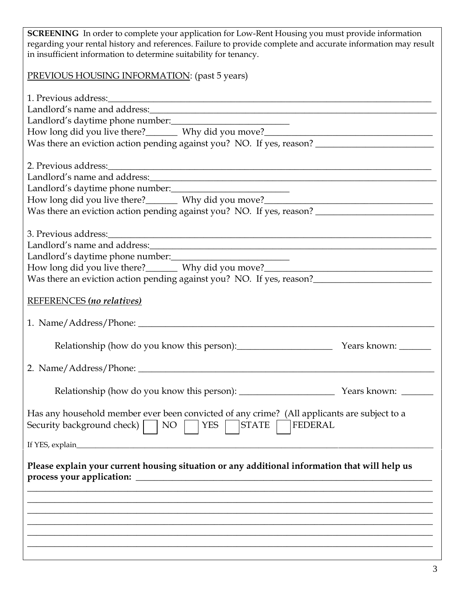**SCREENING** In order to complete your application for Low-Rent Housing you must provide information regarding your rental history and references. Failure to provide complete and accurate information may result in insufficient information to determine suitability for tenancy. PREVIOUS HOUSING INFORMATION: (past 5 years) 1. Previous address:\_\_\_\_\_\_\_\_\_\_\_\_\_\_\_\_\_\_\_\_\_\_\_\_\_\_\_\_\_\_\_\_\_\_\_\_\_\_\_\_\_\_\_\_\_\_\_\_\_\_\_\_\_\_\_\_\_\_\_\_\_\_\_\_\_\_\_\_\_\_\_ Landlord's name and address: Landlord's daytime phone number: How long did you live there?\_\_\_\_\_\_\_\_ Why did you move?\_\_\_\_\_\_\_\_\_\_\_\_\_\_\_\_\_\_\_\_\_\_\_\_\_\_ Was there an eviction action pending against you? NO. If yes, reason? \_\_\_\_\_\_\_\_\_\_\_ 2. Previous address:\_\_\_\_\_\_\_\_\_\_\_\_\_\_\_\_\_\_\_\_\_\_\_\_\_\_\_\_\_\_\_\_\_\_\_\_\_\_\_\_\_\_\_\_\_\_\_\_\_\_\_\_\_\_\_\_\_\_\_\_\_\_\_\_\_\_\_\_\_\_\_ Landlord's name and address:\_\_\_\_\_\_\_\_\_\_\_\_\_\_\_\_\_\_\_\_\_\_\_\_\_\_\_\_\_\_\_\_\_\_\_\_\_\_\_\_\_\_\_\_\_\_\_\_\_\_\_\_\_\_\_\_\_\_\_\_\_\_\_ Landlord's daytime phone number: How long did you live there?\_\_\_\_\_\_\_\_ Why did you move?\_\_\_\_\_\_\_\_\_\_\_\_\_\_\_\_\_\_\_\_\_\_\_\_\_\_\_ Was there an eviction action pending against you? NO. If yes, reason? 3. Previous address:\_\_\_\_\_\_\_\_\_\_\_\_\_\_\_\_\_\_\_\_\_\_\_\_\_\_\_\_\_\_\_\_\_\_\_\_\_\_\_\_\_\_\_\_\_\_\_\_\_\_\_\_\_\_\_\_\_\_\_\_\_\_\_\_\_\_\_\_\_\_\_ Landlord's name and address:\_\_\_\_\_\_\_\_\_\_\_\_\_\_\_\_\_\_\_\_\_\_\_\_\_\_\_\_\_\_\_\_\_\_\_\_\_\_\_\_\_\_\_\_\_\_\_\_\_\_\_\_\_\_\_\_\_\_\_\_\_\_\_ Landlord's daytime phone number:\_\_\_\_\_\_\_\_\_\_\_\_\_\_\_\_\_\_\_\_\_\_\_\_\_\_ How long did you live there?\_\_\_\_\_\_\_\_ Why did you move?\_\_\_\_\_\_\_\_\_\_\_\_\_\_\_\_\_\_\_\_\_\_\_\_\_\_ Was there an eviction action pending against you? NO. If yes, reason? REFERENCES *(no relatives)* 1. Name/Address/Phone: \_\_\_\_\_\_\_\_\_\_\_\_\_\_\_\_\_\_\_\_\_\_\_\_\_\_\_\_\_\_\_\_\_\_\_\_\_\_\_\_\_\_\_\_\_\_\_\_\_\_\_\_\_\_\_\_\_\_\_\_\_\_\_\_\_ Relationship (how do you know this person):\_\_\_\_\_\_\_\_\_\_\_\_\_\_\_\_\_\_\_\_\_ Years known: \_\_\_\_\_\_\_ 2. Name/Address/Phone: \_\_\_\_\_\_\_\_\_\_\_\_\_\_\_\_\_\_\_\_\_\_\_\_\_\_\_\_\_\_\_\_\_\_\_\_\_\_\_\_\_\_\_\_\_\_\_\_\_\_\_\_\_\_\_\_\_\_\_\_\_\_\_\_\_ Relationship (how do you know this person): \_\_\_\_\_\_\_\_\_\_\_\_\_\_\_\_\_\_\_\_\_ Years known: \_\_\_\_\_\_\_ Has any household member ever been convicted of any crime? (All applicants are subject to a Security background check)  $\Box$  NO  $\Box$  YES  $\Box$  STATE  $\Box$  FEDERAL If YES, explain\_\_\_\_\_\_\_\_\_\_\_\_\_\_\_\_\_\_\_\_\_\_\_\_\_\_\_\_\_\_\_\_\_\_\_\_\_\_\_\_\_\_\_\_\_\_\_\_\_\_\_\_\_\_\_\_\_\_\_\_\_\_\_\_\_\_\_\_\_\_\_\_\_\_\_\_\_\_\_\_\_\_\_\_\_\_\_\_\_\_\_\_\_\_ **Please explain your current housing situation or any additional information that will help us process your application: \_\_\_\_\_\_\_\_\_\_\_\_\_\_\_\_\_\_\_\_\_\_\_\_\_\_\_\_\_\_\_\_\_\_\_\_\_\_\_\_\_\_\_\_\_\_\_\_\_\_\_\_\_\_\_\_\_\_\_\_\_\_\_\_\_ \_\_\_\_\_\_\_\_\_\_\_\_\_\_\_\_\_\_\_\_\_\_\_\_\_\_\_\_\_\_\_\_\_\_\_\_\_\_\_\_\_\_\_\_\_\_\_\_\_\_\_\_\_\_\_\_\_\_\_\_\_\_\_\_\_\_\_\_\_\_\_\_\_\_\_\_\_\_\_\_\_\_\_\_\_\_\_\_\_ \_\_\_\_\_\_\_\_\_\_\_\_\_\_\_\_\_\_\_\_\_\_\_\_\_\_\_\_\_\_\_\_\_\_\_\_\_\_\_\_\_\_\_\_\_\_\_\_\_\_\_\_\_\_\_\_\_\_\_\_\_\_\_\_\_\_\_\_\_\_\_\_\_\_\_\_\_\_\_\_\_\_\_\_\_\_\_\_\_ \_\_\_\_\_\_\_\_\_\_\_\_\_\_\_\_\_\_\_\_\_\_\_\_\_\_\_\_\_\_\_\_\_\_\_\_\_\_\_\_\_\_\_\_\_\_\_\_\_\_\_\_\_\_\_\_\_\_\_\_\_\_\_\_\_\_\_\_\_\_\_\_\_\_\_\_\_\_\_\_\_\_\_\_\_\_\_\_\_ \_\_\_\_\_\_\_\_\_\_\_\_\_\_\_\_\_\_\_\_\_\_\_\_\_\_\_\_\_\_\_\_\_\_\_\_\_\_\_\_\_\_\_\_\_\_\_\_\_\_\_\_\_\_\_\_\_\_\_\_\_\_\_\_\_\_\_\_\_\_\_\_\_\_\_\_\_\_\_\_\_\_\_\_\_\_\_\_\_ \_\_\_\_\_\_\_\_\_\_\_\_\_\_\_\_\_\_\_\_\_\_\_\_\_\_\_\_\_\_\_\_\_\_\_\_\_\_\_\_\_\_\_\_\_\_\_\_\_\_\_\_\_\_\_\_\_\_\_\_\_\_\_\_\_\_\_\_\_\_\_\_\_\_\_\_\_\_\_\_\_\_\_\_\_\_\_\_\_**

**\_\_\_\_\_\_\_\_\_\_\_\_\_\_\_\_\_\_\_\_\_\_\_\_\_\_\_\_\_\_\_\_\_\_\_\_\_\_\_\_\_\_\_\_\_\_\_\_\_\_\_\_\_\_\_\_\_\_\_\_\_\_\_\_\_\_\_\_\_\_\_\_\_\_\_\_\_\_\_\_\_\_\_\_\_\_\_\_\_**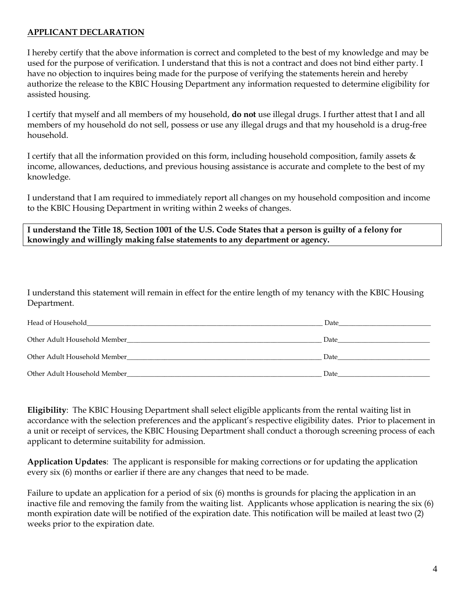#### **APPLICANT DECLARATION**

I hereby certify that the above information is correct and completed to the best of my knowledge and may be used for the purpose of verification. I understand that this is not a contract and does not bind either party. I have no objection to inquires being made for the purpose of verifying the statements herein and hereby authorize the release to the KBIC Housing Department any information requested to determine eligibility for assisted housing.

I certify that myself and all members of my household, **do not** use illegal drugs. I further attest that I and all members of my household do not sell, possess or use any illegal drugs and that my household is a drug-free household.

I certify that all the information provided on this form, including household composition, family assets  $\&$ income, allowances, deductions, and previous housing assistance is accurate and complete to the best of my knowledge.

I understand that I am required to immediately report all changes on my household composition and income to the KBIC Housing Department in writing within 2 weeks of changes.

**I understand the Title 18, Section 1001 of the U.S. Code States that a person is guilty of a felony for knowingly and willingly making false statements to any department or agency.**

I understand this statement will remain in effect for the entire length of my tenancy with the KBIC Housing Department.

| Head of Household<br>and the control of the control of the control of the control of the control of the control of the control of the | Date |
|---------------------------------------------------------------------------------------------------------------------------------------|------|
| Other Adult Household Member<br>the contract of the contract of the contract of the contract of the contract of                       | Date |
| Other Adult Household Member                                                                                                          | Date |
| Other Adult Household Member                                                                                                          | Date |

**Eligibility**: The KBIC Housing Department shall select eligible applicants from the rental waiting list in accordance with the selection preferences and the applicant's respective eligibility dates. Prior to placement in a unit or receipt of services, the KBIC Housing Department shall conduct a thorough screening process of each applicant to determine suitability for admission.

**Application Updates**: The applicant is responsible for making corrections or for updating the application every six (6) months or earlier if there are any changes that need to be made.

Failure to update an application for a period of six (6) months is grounds for placing the application in an inactive file and removing the family from the waiting list. Applicants whose application is nearing the six (6) month expiration date will be notified of the expiration date. This notification will be mailed at least two (2) weeks prior to the expiration date.